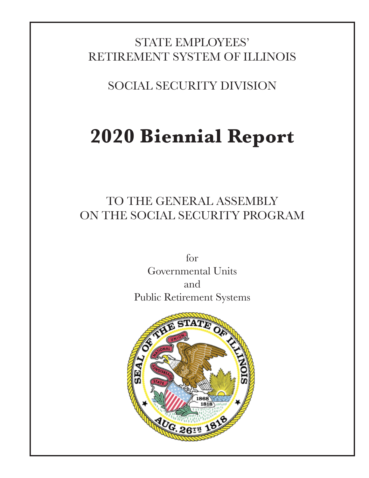# STATE EMPLOYEES' RETIREMENT SYSTEM OF ILLINOIS

SOCIAL SECURITY DIVISION

# **2020 Biennial Report**

# TO THE GENERAL ASSEMBLY ON THE SOCIAL SECURITY PROGRAM

for Governmental Units and Public Retirement Systems

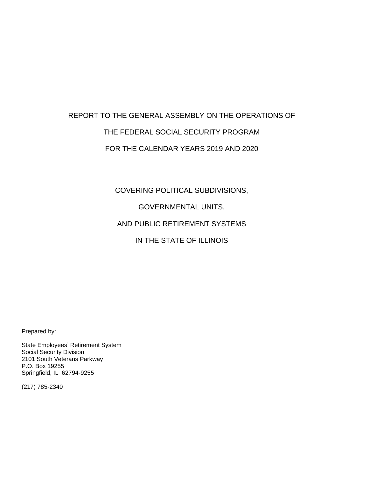# REPORT TO THE GENERAL ASSEMBLY ON THE OPERATIONS OF THE FEDERAL SOCIAL SECURITY PROGRAM FOR THE CALENDAR YEARS 2019 AND 2020

COVERING POLITICAL SUBDIVISIONS,

GOVERNMENTAL UNITS,

AND PUBLIC RETIREMENT SYSTEMS

IN THE STATE OF ILLINOIS

Prepared by:

State Employees' Retirement System Social Security Division 2101 South Veterans Parkway P.O. Box 19255 Springfield, IL 62794-9255

(217) 785-2340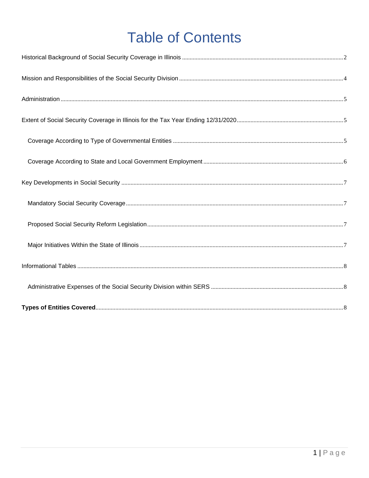# **Table of Contents**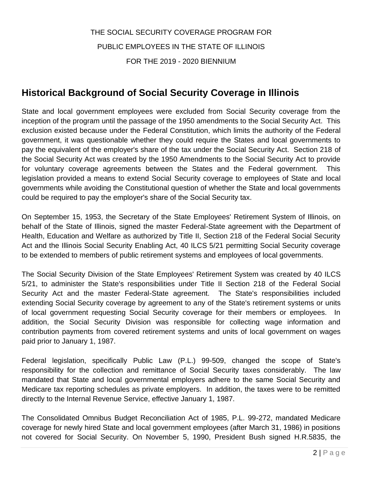# THE SOCIAL SECURITY COVERAGE PROGRAM FOR PUBLIC EMPLOYEES IN THE STATE OF ILLINOIS FOR THE 2019 - 2020 BIENNIUM

## <span id="page-3-0"></span>**Historical Background of Social Security Coverage in Illinois**

State and local government employees were excluded from Social Security coverage from the inception of the program until the passage of the 1950 amendments to the Social Security Act. This exclusion existed because under the Federal Constitution, which limits the authority of the Federal government, it was questionable whether they could require the States and local governments to pay the equivalent of the employer's share of the tax under the Social Security Act. Section 218 of the Social Security Act was created by the 1950 Amendments to the Social Security Act to provide for voluntary coverage agreements between the States and the Federal government. This legislation provided a means to extend Social Security coverage to employees of State and local governments while avoiding the Constitutional question of whether the State and local governments could be required to pay the employer's share of the Social Security tax.

On September 15, 1953, the Secretary of the State Employees' Retirement System of Illinois, on behalf of the State of Illinois, signed the master Federal-State agreement with the Department of Health, Education and Welfare as authorized by Title II, Section 218 of the Federal Social Security Act and the Illinois Social Security Enabling Act, 40 ILCS 5/21 permitting Social Security coverage to be extended to members of public retirement systems and employees of local governments.

The Social Security Division of the State Employees' Retirement System was created by 40 ILCS 5/21, to administer the State's responsibilities under Title II Section 218 of the Federal Social Security Act and the master Federal-State agreement. The State's responsibilities included extending Social Security coverage by agreement to any of the State's retirement systems or units of local government requesting Social Security coverage for their members or employees. In addition, the Social Security Division was responsible for collecting wage information and contribution payments from covered retirement systems and units of local government on wages paid prior to January 1, 1987.

Federal legislation, specifically Public Law (P.L.) 99-509, changed the scope of State's responsibility for the collection and remittance of Social Security taxes considerably. The law mandated that State and local governmental employers adhere to the same Social Security and Medicare tax reporting schedules as private employers. In addition, the taxes were to be remitted directly to the Internal Revenue Service, effective January 1, 1987.

The Consolidated Omnibus Budget Reconciliation Act of 1985, P.L. 99-272, mandated Medicare coverage for newly hired State and local government employees (after March 31, 1986) in positions not covered for Social Security. On November 5, 1990, President Bush signed H.R.5835, the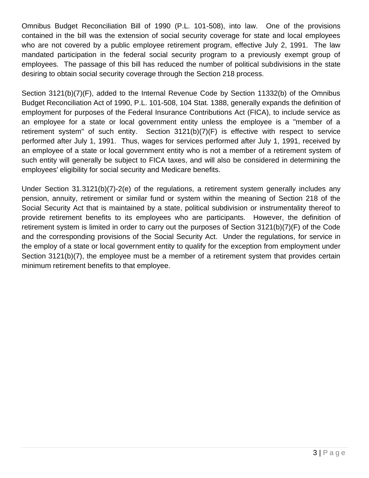Omnibus Budget Reconciliation Bill of 1990 (P.L. 101-508), into law. One of the provisions contained in the bill was the extension of social security coverage for state and local employees who are not covered by a public employee retirement program, effective July 2, 1991. The law mandated participation in the federal social security program to a previously exempt group of employees. The passage of this bill has reduced the number of political subdivisions in the state desiring to obtain social security coverage through the Section 218 process.

Section 3121(b)(7)(F), added to the Internal Revenue Code by Section 11332(b) of the Omnibus Budget Reconciliation Act of 1990, P.L. 101-508, 104 Stat. 1388, generally expands the definition of employment for purposes of the Federal Insurance Contributions Act (FICA), to include service as an employee for a state or local government entity unless the employee is a "member of a retirement system" of such entity. Section 3121(b)(7)(F) is effective with respect to service performed after July 1, 1991. Thus, wages for services performed after July 1, 1991, received by an employee of a state or local government entity who is not a member of a retirement system of such entity will generally be subject to FICA taxes, and will also be considered in determining the employees' eligibility for social security and Medicare benefits.

Under Section 31.3121(b)(7)-2(e) of the regulations, a retirement system generally includes any pension, annuity, retirement or similar fund or system within the meaning of Section 218 of the Social Security Act that is maintained by a state, political subdivision or instrumentality thereof to provide retirement benefits to its employees who are participants. However, the definition of retirement system is limited in order to carry out the purposes of Section 3121(b)(7)(F) of the Code and the corresponding provisions of the Social Security Act. Under the regulations, for service in the employ of a state or local government entity to qualify for the exception from employment under Section 3121(b)(7), the employee must be a member of a retirement system that provides certain minimum retirement benefits to that employee.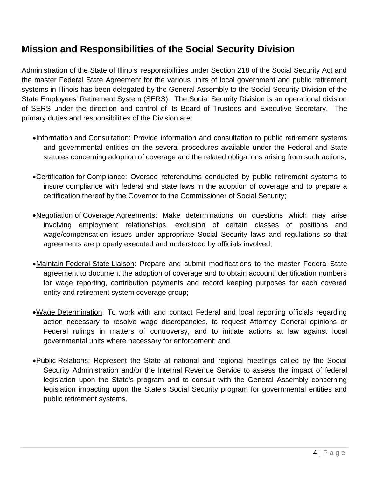## <span id="page-5-0"></span>**Mission and Responsibilities of the Social Security Division**

Administration of the State of Illinois' responsibilities under Section 218 of the Social Security Act and the master Federal State Agreement for the various units of local government and public retirement systems in Illinois has been delegated by the General Assembly to the Social Security Division of the State Employees' Retirement System (SERS). The Social Security Division is an operational division of SERS under the direction and control of its Board of Trustees and Executive Secretary. The primary duties and responsibilities of the Division are:

- •Information and Consultation: Provide information and consultation to public retirement systems and governmental entities on the several procedures available under the Federal and State statutes concerning adoption of coverage and the related obligations arising from such actions;
- •Certification for Compliance: Oversee referendums conducted by public retirement systems to insure compliance with federal and state laws in the adoption of coverage and to prepare a certification thereof by the Governor to the Commissioner of Social Security;
- •Negotiation of Coverage Agreements: Make determinations on questions which may arise involving employment relationships, exclusion of certain classes of positions and wage/compensation issues under appropriate Social Security laws and regulations so that agreements are properly executed and understood by officials involved;
- •Maintain Federal-State Liaison: Prepare and submit modifications to the master Federal-State agreement to document the adoption of coverage and to obtain account identification numbers for wage reporting, contribution payments and record keeping purposes for each covered entity and retirement system coverage group;
- •Wage Determination: To work with and contact Federal and local reporting officials regarding action necessary to resolve wage discrepancies, to request Attorney General opinions or Federal rulings in matters of controversy, and to initiate actions at law against local governmental units where necessary for enforcement; and
- Public Relations: Represent the State at national and regional meetings called by the Social Security Administration and/or the Internal Revenue Service to assess the impact of federal legislation upon the State's program and to consult with the General Assembly concerning legislation impacting upon the State's Social Security program for governmental entities and public retirement systems.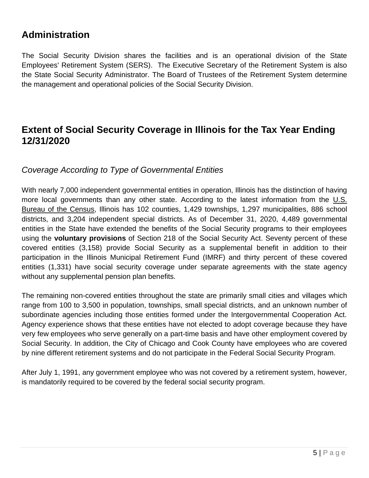### <span id="page-6-0"></span>**Administration**

The Social Security Division shares the facilities and is an operational division of the State Employees' Retirement System (SERS). The Executive Secretary of the Retirement System is also the State Social Security Administrator. The Board of Trustees of the Retirement System determine the management and operational policies of the Social Security Division.

### <span id="page-6-1"></span>**Extent of Social Security Coverage in Illinois for the Tax Year Ending 12/31/2020**

#### <span id="page-6-2"></span>*Coverage According to Type of Governmental Entities*

With nearly 7,000 independent governmental entities in operation, Illinois has the distinction of having more local governments than any other state. According to the latest information from the U.S. Bureau of the Census, Illinois has 102 counties, 1,429 townships, 1,297 municipalities, 886 school districts, and 3,204 independent special districts. As of December 31, 2020, 4,489 governmental entities in the State have extended the benefits of the Social Security programs to their employees using the **voluntary provisions** of Section 218 of the Social Security Act. Seventy percent of these covered entities (3,158) provide Social Security as a supplemental benefit in addition to their participation in the Illinois Municipal Retirement Fund (IMRF) and thirty percent of these covered entities (1,331) have social security coverage under separate agreements with the state agency without any supplemental pension plan benefits.

The remaining non-covered entities throughout the state are primarily small cities and villages which range from 100 to 3,500 in population, townships, small special districts, and an unknown number of subordinate agencies including those entities formed under the Intergovernmental Cooperation Act. Agency experience shows that these entities have not elected to adopt coverage because they have very few employees who serve generally on a part-time basis and have other employment covered by Social Security. In addition, the City of Chicago and Cook County have employees who are covered by nine different retirement systems and do not participate in the Federal Social Security Program.

After July 1, 1991, any government employee who was not covered by a retirement system, however, is mandatorily required to be covered by the federal social security program.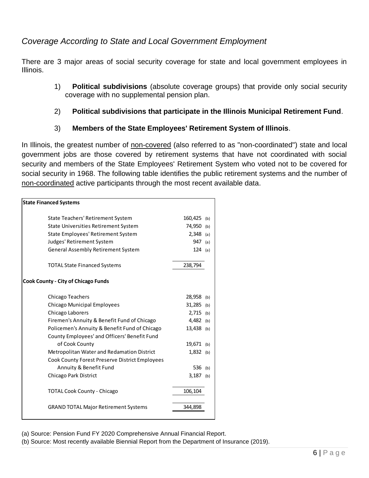#### <span id="page-7-0"></span>*Coverage According to State and Local Government Employment*

There are 3 major areas of social security coverage for state and local government employees in Illinois.

1) **Political subdivisions** (absolute coverage groups) that provide only social security coverage with no supplemental pension plan.

#### 2) **Political subdivisions that participate in the Illinois Municipal Retirement Fund**.

3) **Members of the State Employees' Retirement System of Illinois**.

In Illinois, the greatest number of non-covered (also referred to as "non-coordinated") state and local government jobs are those covered by retirement systems that have not coordinated with social security and members of the State Employees' Retirement System who voted not to be covered for social security in 1968. The following table identifies the public retirement systems and the number of non-coordinated active participants through the most recent available data.

| <b>State Financed Systems</b>                  |              |     |
|------------------------------------------------|--------------|-----|
|                                                |              |     |
| State Teachers' Retirement System              | 160,425 (b)  |     |
| State Universities Retirement System           | 74,950 (b)   |     |
| State Employees' Retirement System             | $2,348$ (a)  |     |
| Judges' Retirement System                      | 947          | (a) |
| General Assembly Retirement System             | 124          | (a) |
| <b>TOTAL State Financed Systems</b>            | 238,794      |     |
| <b>Cook County - City of Chicago Funds</b>     |              |     |
| Chicago Teachers                               | 28,958       | (b) |
| <b>Chicago Municipal Employees</b>             | 31,285 (b)   |     |
| Chicago Laborers                               | $2,715$ (b)  |     |
| Firemen's Annuity & Benefit Fund of Chicago    | $4,482$ (b)  |     |
| Policemen's Annuity & Benefit Fund of Chicago  | $13,438$ (b) |     |
| County Employees' and Officers' Benefit Fund   |              |     |
| of Cook County                                 | 19,671 (b)   |     |
| Metropolitan Water and Redamation District     | $1,832$ (b)  |     |
| Cook County Forest Preserve District Employees |              |     |
| Annuity & Benefit Fund                         | 536          | (b) |
| Chicago Park District                          | $3,187$ (b)  |     |
| <b>TOTAL Cook County - Chicago</b>             | 106,104      |     |
| <b>GRAND TOTAL Major Retirement Systems</b>    | 344,898      |     |

(a) Source: Pension Fund FY 2020 Comprehensive Annual Financial Report.

(b) Source: Most recently available Biennial Report from the Department of Insurance (2019).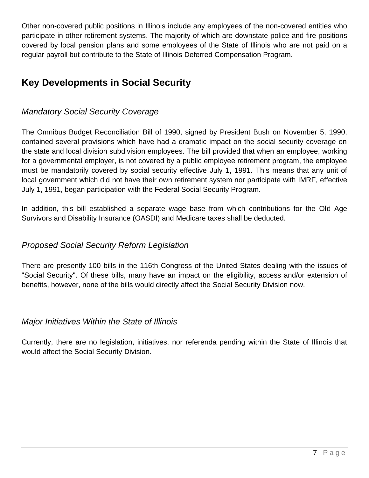Other non-covered public positions in Illinois include any employees of the non-covered entities who participate in other retirement systems. The majority of which are downstate police and fire positions covered by local pension plans and some employees of the State of Illinois who are not paid on a regular payroll but contribute to the State of Illinois Deferred Compensation Program.

# <span id="page-8-0"></span>**Key Developments in Social Security**

#### <span id="page-8-1"></span>*Mandatory Social Security Coverage*

The Omnibus Budget Reconciliation Bill of 1990, signed by President Bush on November 5, 1990, contained several provisions which have had a dramatic impact on the social security coverage on the state and local division subdivision employees. The bill provided that when an employee, working for a governmental employer, is not covered by a public employee retirement program, the employee must be mandatorily covered by social security effective July 1, 1991. This means that any unit of local government which did not have their own retirement system nor participate with IMRF, effective July 1, 1991, began participation with the Federal Social Security Program.

In addition, this bill established a separate wage base from which contributions for the Old Age Survivors and Disability Insurance (OASDI) and Medicare taxes shall be deducted.

#### <span id="page-8-2"></span>*Proposed Social Security Reform Legislation*

There are presently 100 bills in the 116th Congress of the United States dealing with the issues of "Social Security". Of these bills, many have an impact on the eligibility, access and/or extension of benefits, however, none of the bills would directly affect the Social Security Division now.

#### <span id="page-8-3"></span>*Major Initiatives Within the State of Illinois*

Currently, there are no legislation, initiatives, nor referenda pending within the State of Illinois that would affect the Social Security Division.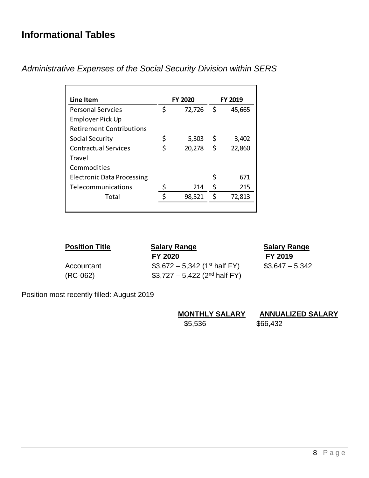## <span id="page-9-0"></span>**Informational Tables**

| Line Item                         | <b>FY 2020</b> |     | <b>FY 2019</b> |
|-----------------------------------|----------------|-----|----------------|
| <b>Personal Servcies</b>          | \$<br>72,726   | -\$ | 45,665         |
| Employer Pick Up                  |                |     |                |
| <b>Retirement Contributions</b>   |                |     |                |
| Social Security                   | \$<br>5,303    | \$  | 3,402          |
| <b>Contractual Services</b>       | \$<br>20,278   | \$  | 22,860         |
| <b>Travel</b>                     |                |     |                |
| Commodities                       |                |     |                |
| <b>Electronic Data Processing</b> |                |     | 671            |
| Telecommunications                | 214            | S   | 215            |
| Total                             | 98,521         | Ś   | 72,813         |
|                                   |                |     |                |

<span id="page-9-1"></span>*Administrative Expenses of the Social Security Division within SERS*

| <b>Position Title</b>    | <b>Salary Range</b><br>FY 2020                                                         | <b>Salary Range</b><br>FY 2019 |
|--------------------------|----------------------------------------------------------------------------------------|--------------------------------|
| Accountant<br>$(RC-062)$ | \$3,672 – 5,342 (1 <sup>st</sup> half FY)<br>\$3,727 - 5,422 (2 <sup>nd</sup> half FY) | $$3,647 - 5,342$               |

Position most recently filled: August 2019

<span id="page-9-2"></span>

| <b>MONTHLY SALARY</b> | <b>ANNUALIZED SALARY</b> |
|-----------------------|--------------------------|
| \$5,536               | \$66,432                 |